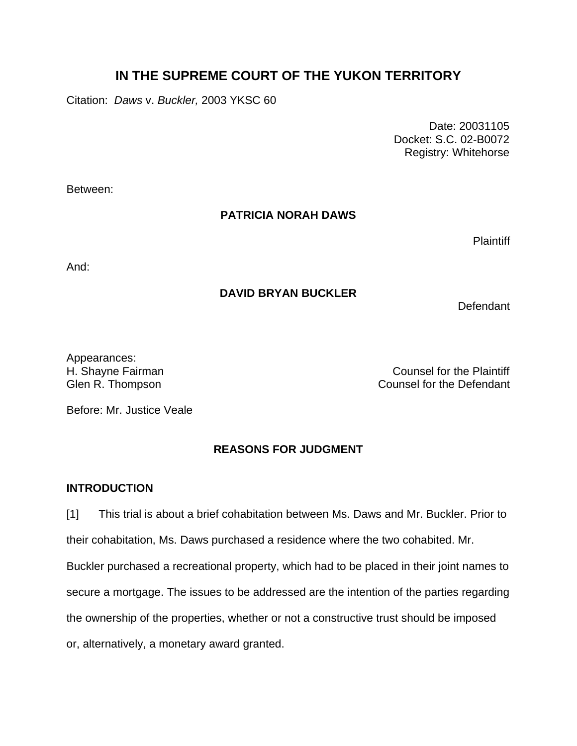# **IN THE SUPREME COURT OF THE YUKON TERRITORY**

Citation: *Daws* v. *Buckler,* 2003 YKSC 60

 Date: 20031105 Docket: S.C. 02-B0072 Registry: Whitehorse

Between:

#### **PATRICIA NORAH DAWS**

**Plaintiff** 

And:

### **DAVID BRYAN BUCKLER**

Defendant

Appearances:

H. Shayne Fairman Counsel for the Plaintiff Glen R. Thompson Counsel for the Defendant

Before: Mr. Justice Veale

## **REASONS FOR JUDGMENT**

#### **INTRODUCTION**

[1] This trial is about a brief cohabitation between Ms. Daws and Mr. Buckler. Prior to their cohabitation, Ms. Daws purchased a residence where the two cohabited. Mr. Buckler purchased a recreational property, which had to be placed in their joint names to secure a mortgage. The issues to be addressed are the intention of the parties regarding the ownership of the properties, whether or not a constructive trust should be imposed or, alternatively, a monetary award granted.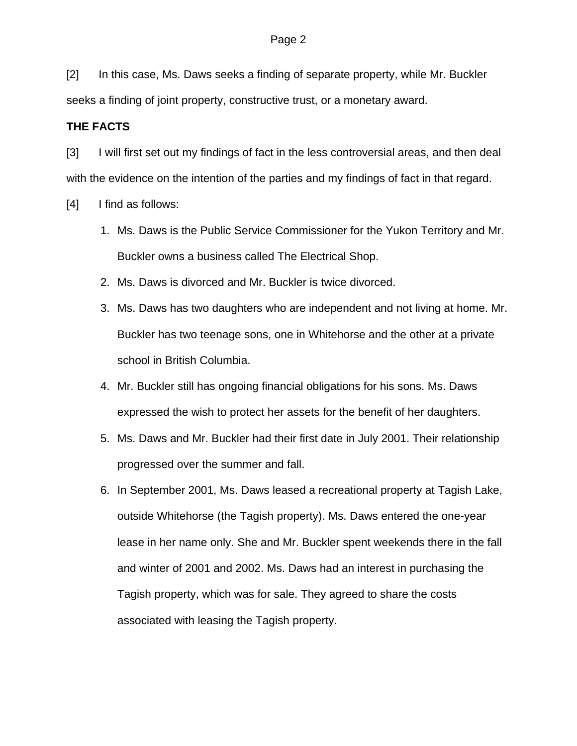[2] In this case, Ms. Daws seeks a finding of separate property, while Mr. Buckler seeks a finding of joint property, constructive trust, or a monetary award.

#### **THE FACTS**

[3] I will first set out my findings of fact in the less controversial areas, and then deal with the evidence on the intention of the parties and my findings of fact in that regard.

- [4] I find as follows:
	- 1. Ms. Daws is the Public Service Commissioner for the Yukon Territory and Mr. Buckler owns a business called The Electrical Shop.
	- 2. Ms. Daws is divorced and Mr. Buckler is twice divorced.
	- 3. Ms. Daws has two daughters who are independent and not living at home. Mr. Buckler has two teenage sons, one in Whitehorse and the other at a private school in British Columbia.
	- 4. Mr. Buckler still has ongoing financial obligations for his sons. Ms. Daws expressed the wish to protect her assets for the benefit of her daughters.
	- 5. Ms. Daws and Mr. Buckler had their first date in July 2001. Their relationship progressed over the summer and fall.
	- 6. In September 2001, Ms. Daws leased a recreational property at Tagish Lake, outside Whitehorse (the Tagish property). Ms. Daws entered the one-year lease in her name only. She and Mr. Buckler spent weekends there in the fall and winter of 2001 and 2002. Ms. Daws had an interest in purchasing the Tagish property, which was for sale. They agreed to share the costs associated with leasing the Tagish property.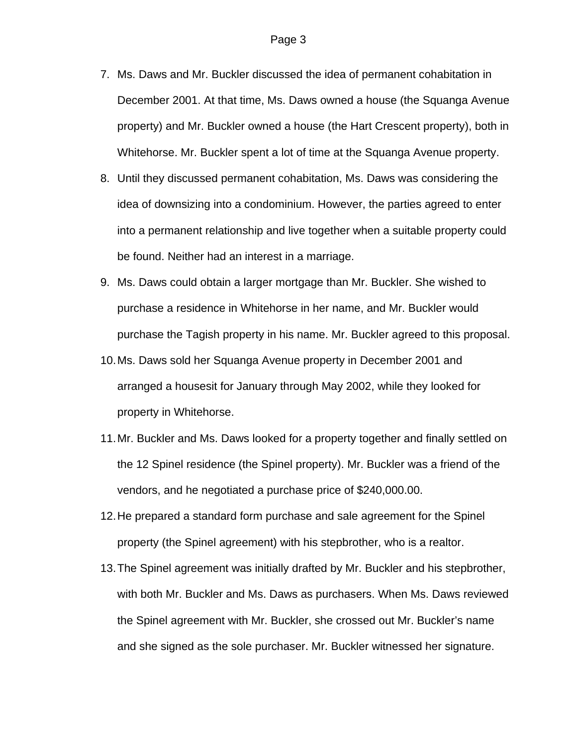- 7. Ms. Daws and Mr. Buckler discussed the idea of permanent cohabitation in December 2001. At that time, Ms. Daws owned a house (the Squanga Avenue property) and Mr. Buckler owned a house (the Hart Crescent property), both in Whitehorse. Mr. Buckler spent a lot of time at the Squanga Avenue property.
- 8. Until they discussed permanent cohabitation, Ms. Daws was considering the idea of downsizing into a condominium. However, the parties agreed to enter into a permanent relationship and live together when a suitable property could be found. Neither had an interest in a marriage.
- 9. Ms. Daws could obtain a larger mortgage than Mr. Buckler. She wished to purchase a residence in Whitehorse in her name, and Mr. Buckler would purchase the Tagish property in his name. Mr. Buckler agreed to this proposal.
- 10. Ms. Daws sold her Squanga Avenue property in December 2001 and arranged a housesit for January through May 2002, while they looked for property in Whitehorse.
- 11. Mr. Buckler and Ms. Daws looked for a property together and finally settled on the 12 Spinel residence (the Spinel property). Mr. Buckler was a friend of the vendors, and he negotiated a purchase price of \$240,000.00.
- 12. He prepared a standard form purchase and sale agreement for the Spinel property (the Spinel agreement) with his stepbrother, who is a realtor.
- 13. The Spinel agreement was initially drafted by Mr. Buckler and his stepbrother, with both Mr. Buckler and Ms. Daws as purchasers. When Ms. Daws reviewed the Spinel agreement with Mr. Buckler, she crossed out Mr. Buckler's name and she signed as the sole purchaser. Mr. Buckler witnessed her signature.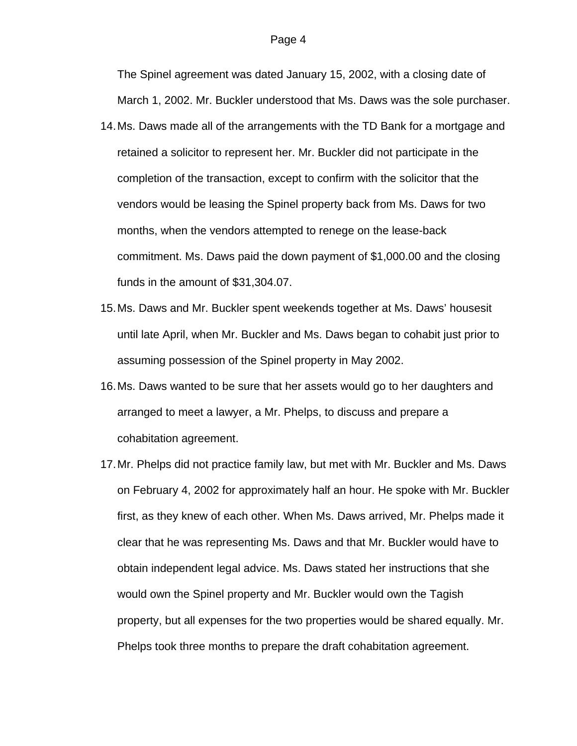The Spinel agreement was dated January 15, 2002, with a closing date of March 1, 2002. Mr. Buckler understood that Ms. Daws was the sole purchaser.

- 14. Ms. Daws made all of the arrangements with the TD Bank for a mortgage and retained a solicitor to represent her. Mr. Buckler did not participate in the completion of the transaction, except to confirm with the solicitor that the vendors would be leasing the Spinel property back from Ms. Daws for two months, when the vendors attempted to renege on the lease-back commitment. Ms. Daws paid the down payment of \$1,000.00 and the closing funds in the amount of \$31,304.07.
- 15. Ms. Daws and Mr. Buckler spent weekends together at Ms. Daws' housesit until late April, when Mr. Buckler and Ms. Daws began to cohabit just prior to assuming possession of the Spinel property in May 2002.
- 16. Ms. Daws wanted to be sure that her assets would go to her daughters and arranged to meet a lawyer, a Mr. Phelps, to discuss and prepare a cohabitation agreement.
- 17. Mr. Phelps did not practice family law, but met with Mr. Buckler and Ms. Daws on February 4, 2002 for approximately half an hour. He spoke with Mr. Buckler first, as they knew of each other. When Ms. Daws arrived, Mr. Phelps made it clear that he was representing Ms. Daws and that Mr. Buckler would have to obtain independent legal advice. Ms. Daws stated her instructions that she would own the Spinel property and Mr. Buckler would own the Tagish property, but all expenses for the two properties would be shared equally. Mr. Phelps took three months to prepare the draft cohabitation agreement.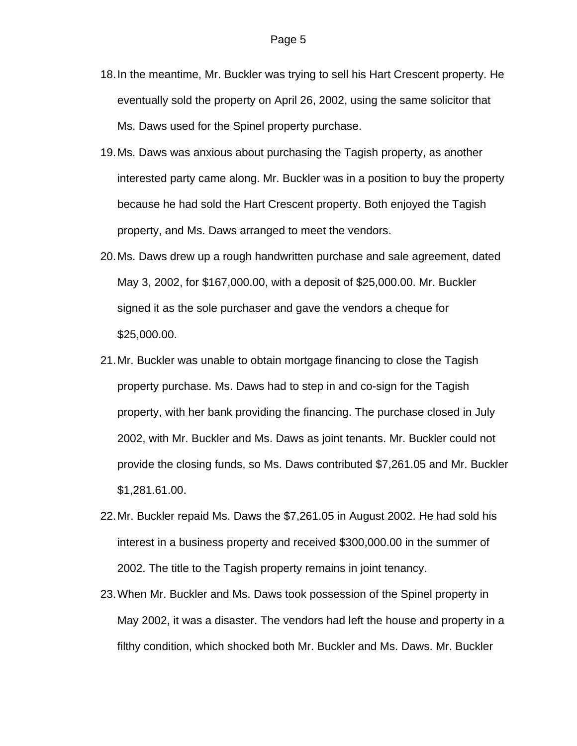- 18. In the meantime, Mr. Buckler was trying to sell his Hart Crescent property. He eventually sold the property on April 26, 2002, using the same solicitor that Ms. Daws used for the Spinel property purchase.
- 19. Ms. Daws was anxious about purchasing the Tagish property, as another interested party came along. Mr. Buckler was in a position to buy the property because he had sold the Hart Crescent property. Both enjoyed the Tagish property, and Ms. Daws arranged to meet the vendors.
- 20. Ms. Daws drew up a rough handwritten purchase and sale agreement, dated May 3, 2002, for \$167,000.00, with a deposit of \$25,000.00. Mr. Buckler signed it as the sole purchaser and gave the vendors a cheque for \$25,000.00.
- 21. Mr. Buckler was unable to obtain mortgage financing to close the Tagish property purchase. Ms. Daws had to step in and co-sign for the Tagish property, with her bank providing the financing. The purchase closed in July 2002, with Mr. Buckler and Ms. Daws as joint tenants. Mr. Buckler could not provide the closing funds, so Ms. Daws contributed \$7,261.05 and Mr. Buckler \$1,281.61.00.
- 22. Mr. Buckler repaid Ms. Daws the \$7,261.05 in August 2002. He had sold his interest in a business property and received \$300,000.00 in the summer of 2002. The title to the Tagish property remains in joint tenancy.
- 23. When Mr. Buckler and Ms. Daws took possession of the Spinel property in May 2002, it was a disaster. The vendors had left the house and property in a filthy condition, which shocked both Mr. Buckler and Ms. Daws. Mr. Buckler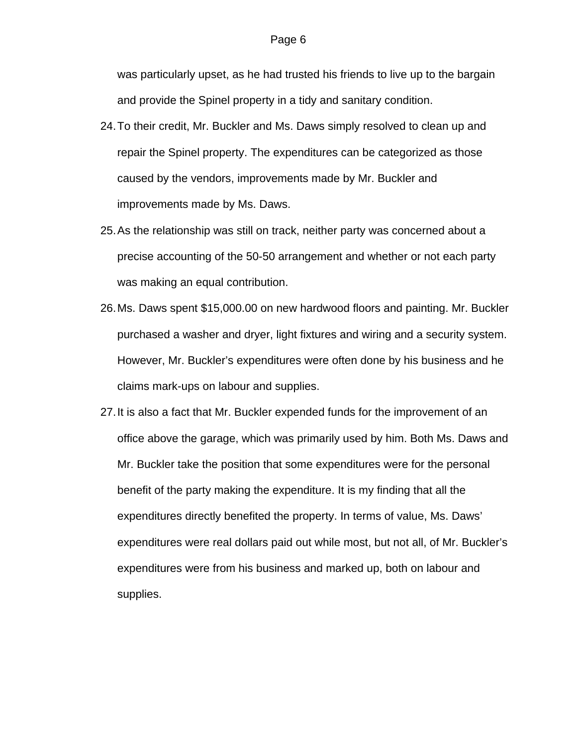was particularly upset, as he had trusted his friends to live up to the bargain and provide the Spinel property in a tidy and sanitary condition.

- 24. To their credit, Mr. Buckler and Ms. Daws simply resolved to clean up and repair the Spinel property. The expenditures can be categorized as those caused by the vendors, improvements made by Mr. Buckler and improvements made by Ms. Daws.
- 25. As the relationship was still on track, neither party was concerned about a precise accounting of the 50-50 arrangement and whether or not each party was making an equal contribution.
- 26. Ms. Daws spent \$15,000.00 on new hardwood floors and painting. Mr. Buckler purchased a washer and dryer, light fixtures and wiring and a security system. However, Mr. Buckler's expenditures were often done by his business and he claims mark-ups on labour and supplies.
- 27. It is also a fact that Mr. Buckler expended funds for the improvement of an office above the garage, which was primarily used by him. Both Ms. Daws and Mr. Buckler take the position that some expenditures were for the personal benefit of the party making the expenditure. It is my finding that all the expenditures directly benefited the property. In terms of value, Ms. Daws' expenditures were real dollars paid out while most, but not all, of Mr. Buckler's expenditures were from his business and marked up, both on labour and supplies.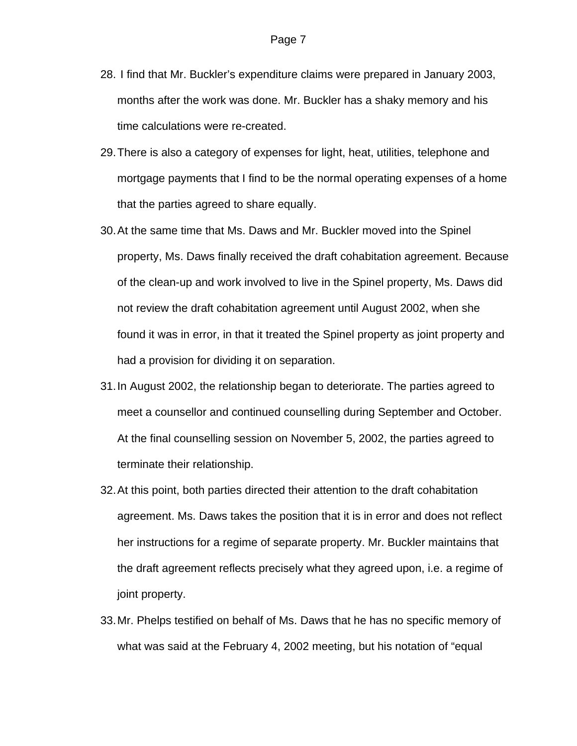- 28. I find that Mr. Buckler's expenditure claims were prepared in January 2003, months after the work was done. Mr. Buckler has a shaky memory and his time calculations were re-created.
- 29. There is also a category of expenses for light, heat, utilities, telephone and mortgage payments that I find to be the normal operating expenses of a home that the parties agreed to share equally.
- 30. At the same time that Ms. Daws and Mr. Buckler moved into the Spinel property, Ms. Daws finally received the draft cohabitation agreement. Because of the clean-up and work involved to live in the Spinel property, Ms. Daws did not review the draft cohabitation agreement until August 2002, when she found it was in error, in that it treated the Spinel property as joint property and had a provision for dividing it on separation.
- 31. In August 2002, the relationship began to deteriorate. The parties agreed to meet a counsellor and continued counselling during September and October. At the final counselling session on November 5, 2002, the parties agreed to terminate their relationship.
- 32. At this point, both parties directed their attention to the draft cohabitation agreement. Ms. Daws takes the position that it is in error and does not reflect her instructions for a regime of separate property. Mr. Buckler maintains that the draft agreement reflects precisely what they agreed upon, i.e. a regime of joint property.
- 33. Mr. Phelps testified on behalf of Ms. Daws that he has no specific memory of what was said at the February 4, 2002 meeting, but his notation of "equal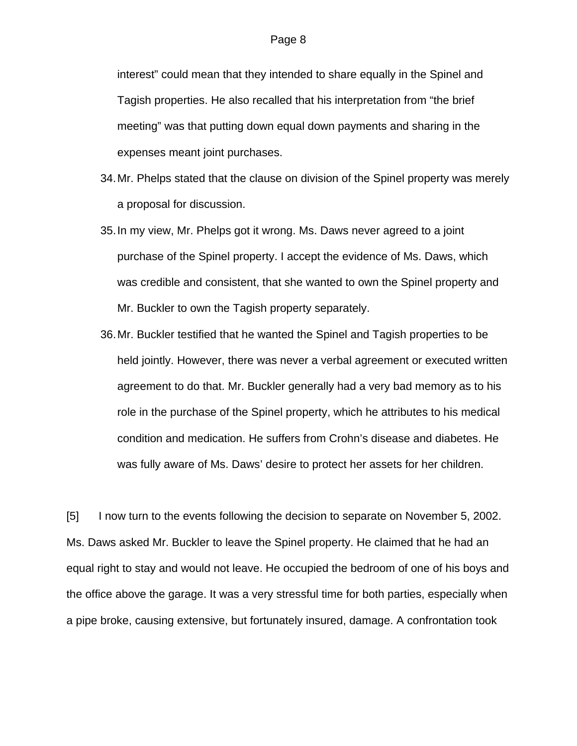interest" could mean that they intended to share equally in the Spinel and Tagish properties. He also recalled that his interpretation from "the brief meeting" was that putting down equal down payments and sharing in the expenses meant joint purchases.

- 34. Mr. Phelps stated that the clause on division of the Spinel property was merely a proposal for discussion.
- 35. In my view, Mr. Phelps got it wrong. Ms. Daws never agreed to a joint purchase of the Spinel property. I accept the evidence of Ms. Daws, which was credible and consistent, that she wanted to own the Spinel property and Mr. Buckler to own the Tagish property separately.
- 36. Mr. Buckler testified that he wanted the Spinel and Tagish properties to be held jointly. However, there was never a verbal agreement or executed written agreement to do that. Mr. Buckler generally had a very bad memory as to his role in the purchase of the Spinel property, which he attributes to his medical condition and medication. He suffers from Crohn's disease and diabetes. He was fully aware of Ms. Daws' desire to protect her assets for her children.

[5] I now turn to the events following the decision to separate on November 5, 2002. Ms. Daws asked Mr. Buckler to leave the Spinel property. He claimed that he had an equal right to stay and would not leave. He occupied the bedroom of one of his boys and the office above the garage. It was a very stressful time for both parties, especially when a pipe broke, causing extensive, but fortunately insured, damage. A confrontation took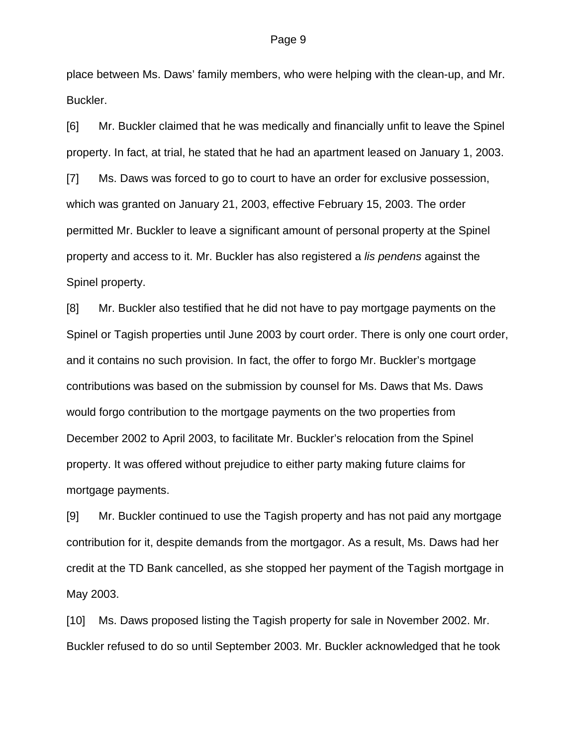place between Ms. Daws' family members, who were helping with the clean-up, and Mr. Buckler.

[6] Mr. Buckler claimed that he was medically and financially unfit to leave the Spinel property. In fact, at trial, he stated that he had an apartment leased on January 1, 2003. [7] Ms. Daws was forced to go to court to have an order for exclusive possession, which was granted on January 21, 2003, effective February 15, 2003. The order permitted Mr. Buckler to leave a significant amount of personal property at the Spinel property and access to it. Mr. Buckler has also registered a *lis pendens* against the Spinel property.

[8] Mr. Buckler also testified that he did not have to pay mortgage payments on the Spinel or Tagish properties until June 2003 by court order. There is only one court order, and it contains no such provision. In fact, the offer to forgo Mr. Buckler's mortgage contributions was based on the submission by counsel for Ms. Daws that Ms. Daws would forgo contribution to the mortgage payments on the two properties from December 2002 to April 2003, to facilitate Mr. Buckler's relocation from the Spinel property. It was offered without prejudice to either party making future claims for mortgage payments.

[9] Mr. Buckler continued to use the Tagish property and has not paid any mortgage contribution for it, despite demands from the mortgagor. As a result, Ms. Daws had her credit at the TD Bank cancelled, as she stopped her payment of the Tagish mortgage in May 2003.

[10] Ms. Daws proposed listing the Tagish property for sale in November 2002. Mr. Buckler refused to do so until September 2003. Mr. Buckler acknowledged that he took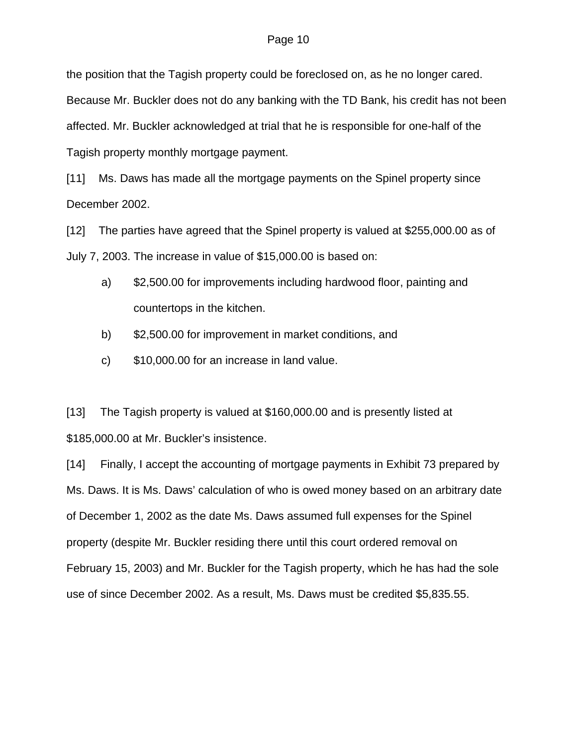#### Page 10

the position that the Tagish property could be foreclosed on, as he no longer cared. Because Mr. Buckler does not do any banking with the TD Bank, his credit has not been affected. Mr. Buckler acknowledged at trial that he is responsible for one-half of the Tagish property monthly mortgage payment.

[11] Ms. Daws has made all the mortgage payments on the Spinel property since December 2002.

[12] The parties have agreed that the Spinel property is valued at \$255,000.00 as of July 7, 2003. The increase in value of \$15,000.00 is based on:

- a) \$2,500.00 for improvements including hardwood floor, painting and countertops in the kitchen.
- b) \$2,500.00 for improvement in market conditions, and
- c) \$10,000.00 for an increase in land value.

[13] The Tagish property is valued at \$160,000.00 and is presently listed at \$185,000.00 at Mr. Buckler's insistence.

[14] Finally, I accept the accounting of mortgage payments in Exhibit 73 prepared by Ms. Daws. It is Ms. Daws' calculation of who is owed money based on an arbitrary date of December 1, 2002 as the date Ms. Daws assumed full expenses for the Spinel property (despite Mr. Buckler residing there until this court ordered removal on February 15, 2003) and Mr. Buckler for the Tagish property, which he has had the sole use of since December 2002. As a result, Ms. Daws must be credited \$5,835.55.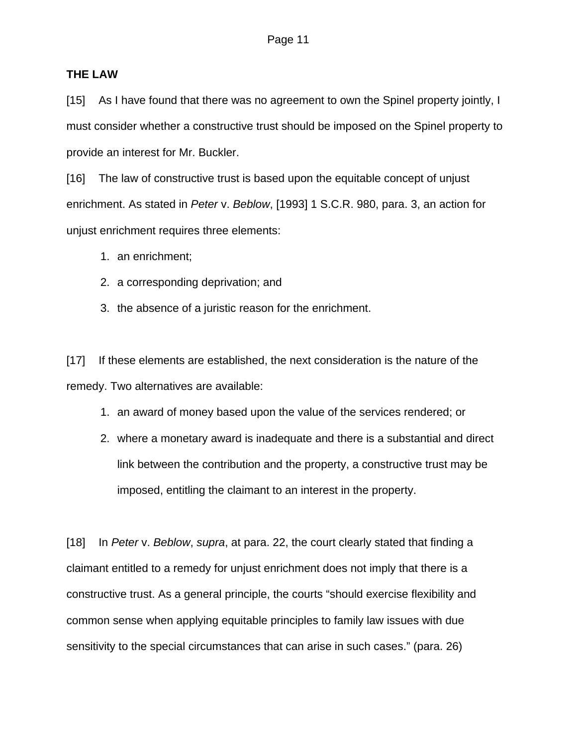#### **THE LAW**

[15] As I have found that there was no agreement to own the Spinel property jointly, I must consider whether a constructive trust should be imposed on the Spinel property to provide an interest for Mr. Buckler.

[16] The law of constructive trust is based upon the equitable concept of unjust enrichment. As stated in *Peter* v. *Beblow*, [1993] 1 S.C.R. 980, para. 3, an action for unjust enrichment requires three elements:

- 1. an enrichment;
- 2. a corresponding deprivation; and
- 3. the absence of a juristic reason for the enrichment.

[17] If these elements are established, the next consideration is the nature of the remedy. Two alternatives are available:

- 1. an award of money based upon the value of the services rendered; or
- 2. where a monetary award is inadequate and there is a substantial and direct link between the contribution and the property, a constructive trust may be imposed, entitling the claimant to an interest in the property.

[18] In *Peter* v. *Beblow*, *supra*, at para. 22, the court clearly stated that finding a claimant entitled to a remedy for unjust enrichment does not imply that there is a constructive trust. As a general principle, the courts "should exercise flexibility and common sense when applying equitable principles to family law issues with due sensitivity to the special circumstances that can arise in such cases." (para. 26)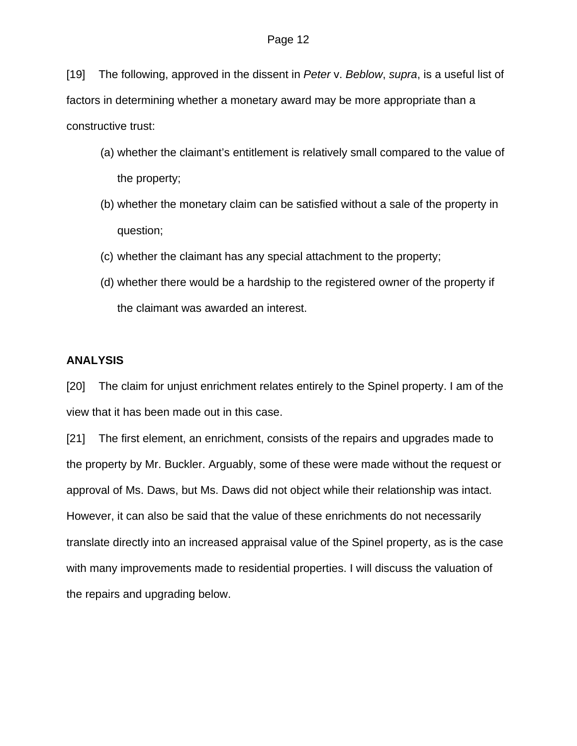[19] The following, approved in the dissent in *Peter* v. *Beblow*, *supra*, is a useful list of factors in determining whether a monetary award may be more appropriate than a constructive trust:

- (a) whether the claimant's entitlement is relatively small compared to the value of the property;
- (b) whether the monetary claim can be satisfied without a sale of the property in question;
- (c) whether the claimant has any special attachment to the property;
- (d) whether there would be a hardship to the registered owner of the property if the claimant was awarded an interest.

#### **ANALYSIS**

[20] The claim for unjust enrichment relates entirely to the Spinel property. I am of the view that it has been made out in this case.

[21] The first element, an enrichment, consists of the repairs and upgrades made to the property by Mr. Buckler. Arguably, some of these were made without the request or approval of Ms. Daws, but Ms. Daws did not object while their relationship was intact. However, it can also be said that the value of these enrichments do not necessarily translate directly into an increased appraisal value of the Spinel property, as is the case with many improvements made to residential properties. I will discuss the valuation of the repairs and upgrading below.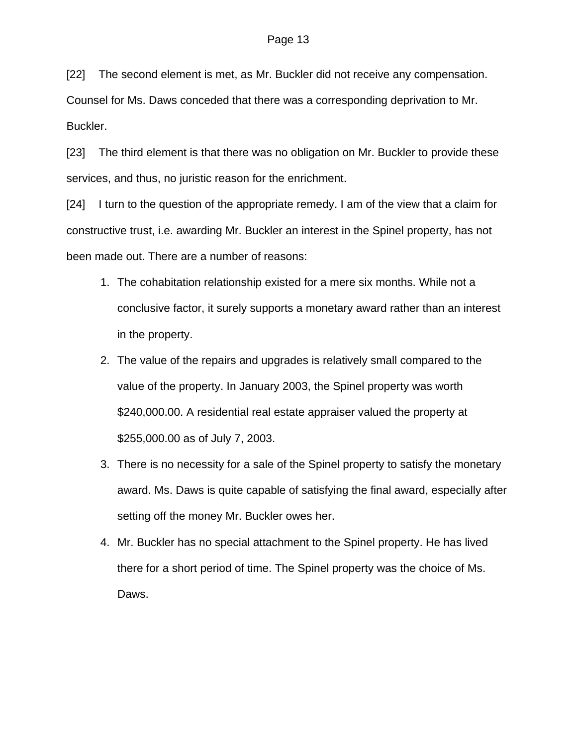[22] The second element is met, as Mr. Buckler did not receive any compensation.

Counsel for Ms. Daws conceded that there was a corresponding deprivation to Mr. Buckler.

[23] The third element is that there was no obligation on Mr. Buckler to provide these services, and thus, no juristic reason for the enrichment.

[24] I turn to the question of the appropriate remedy. I am of the view that a claim for constructive trust, i.e. awarding Mr. Buckler an interest in the Spinel property, has not been made out. There are a number of reasons:

- 1. The cohabitation relationship existed for a mere six months. While not a conclusive factor, it surely supports a monetary award rather than an interest in the property.
- 2. The value of the repairs and upgrades is relatively small compared to the value of the property. In January 2003, the Spinel property was worth \$240,000.00. A residential real estate appraiser valued the property at \$255,000.00 as of July 7, 2003.
- 3. There is no necessity for a sale of the Spinel property to satisfy the monetary award. Ms. Daws is quite capable of satisfying the final award, especially after setting off the money Mr. Buckler owes her.
- 4. Mr. Buckler has no special attachment to the Spinel property. He has lived there for a short period of time. The Spinel property was the choice of Ms. Daws.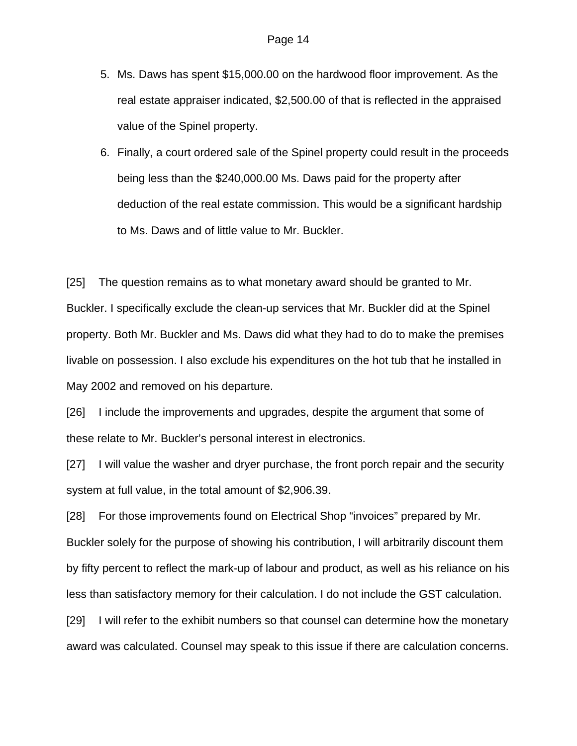- 5. Ms. Daws has spent \$15,000.00 on the hardwood floor improvement. As the real estate appraiser indicated, \$2,500.00 of that is reflected in the appraised value of the Spinel property.
- 6. Finally, a court ordered sale of the Spinel property could result in the proceeds being less than the \$240,000.00 Ms. Daws paid for the property after deduction of the real estate commission. This would be a significant hardship to Ms. Daws and of little value to Mr. Buckler.

[25] The question remains as to what monetary award should be granted to Mr. Buckler. I specifically exclude the clean-up services that Mr. Buckler did at the Spinel property. Both Mr. Buckler and Ms. Daws did what they had to do to make the premises livable on possession. I also exclude his expenditures on the hot tub that he installed in May 2002 and removed on his departure.

[26] I include the improvements and upgrades, despite the argument that some of these relate to Mr. Buckler's personal interest in electronics.

[27] I will value the washer and dryer purchase, the front porch repair and the security system at full value, in the total amount of \$2,906.39.

[28] For those improvements found on Electrical Shop "invoices" prepared by Mr. Buckler solely for the purpose of showing his contribution, I will arbitrarily discount them by fifty percent to reflect the mark-up of labour and product, as well as his reliance on his less than satisfactory memory for their calculation. I do not include the GST calculation.

[29] I will refer to the exhibit numbers so that counsel can determine how the monetary award was calculated. Counsel may speak to this issue if there are calculation concerns.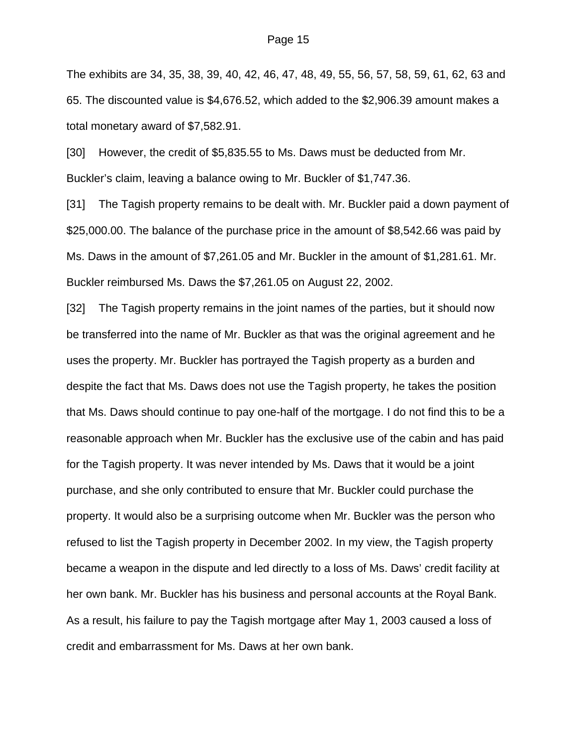The exhibits are 34, 35, 38, 39, 40, 42, 46, 47, 48, 49, 55, 56, 57, 58, 59, 61, 62, 63 and 65. The discounted value is \$4,676.52, which added to the \$2,906.39 amount makes a total monetary award of \$7,582.91.

[30] However, the credit of \$5,835.55 to Ms. Daws must be deducted from Mr. Buckler's claim, leaving a balance owing to Mr. Buckler of \$1,747.36.

[31] The Tagish property remains to be dealt with. Mr. Buckler paid a down payment of \$25,000.00. The balance of the purchase price in the amount of \$8,542.66 was paid by Ms. Daws in the amount of \$7,261.05 and Mr. Buckler in the amount of \$1,281.61. Mr. Buckler reimbursed Ms. Daws the \$7,261.05 on August 22, 2002.

[32] The Tagish property remains in the joint names of the parties, but it should now be transferred into the name of Mr. Buckler as that was the original agreement and he uses the property. Mr. Buckler has portrayed the Tagish property as a burden and despite the fact that Ms. Daws does not use the Tagish property, he takes the position that Ms. Daws should continue to pay one-half of the mortgage. I do not find this to be a reasonable approach when Mr. Buckler has the exclusive use of the cabin and has paid for the Tagish property. It was never intended by Ms. Daws that it would be a joint purchase, and she only contributed to ensure that Mr. Buckler could purchase the property. It would also be a surprising outcome when Mr. Buckler was the person who refused to list the Tagish property in December 2002. In my view, the Tagish property became a weapon in the dispute and led directly to a loss of Ms. Daws' credit facility at her own bank. Mr. Buckler has his business and personal accounts at the Royal Bank. As a result, his failure to pay the Tagish mortgage after May 1, 2003 caused a loss of credit and embarrassment for Ms. Daws at her own bank.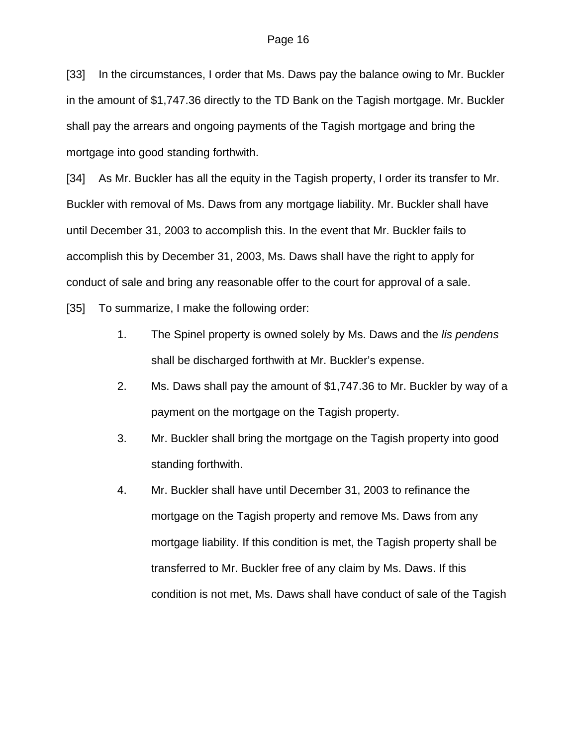[33] In the circumstances, I order that Ms. Daws pay the balance owing to Mr. Buckler in the amount of \$1,747.36 directly to the TD Bank on the Tagish mortgage. Mr. Buckler shall pay the arrears and ongoing payments of the Tagish mortgage and bring the mortgage into good standing forthwith.

[34] As Mr. Buckler has all the equity in the Tagish property, I order its transfer to Mr. Buckler with removal of Ms. Daws from any mortgage liability. Mr. Buckler shall have until December 31, 2003 to accomplish this. In the event that Mr. Buckler fails to accomplish this by December 31, 2003, Ms. Daws shall have the right to apply for conduct of sale and bring any reasonable offer to the court for approval of a sale.

[35] To summarize, I make the following order:

- 1. The Spinel property is owned solely by Ms. Daws and the *lis pendens* shall be discharged forthwith at Mr. Buckler's expense.
- 2. Ms. Daws shall pay the amount of \$1,747.36 to Mr. Buckler by way of a payment on the mortgage on the Tagish property.
- 3. Mr. Buckler shall bring the mortgage on the Tagish property into good standing forthwith.
- 4. Mr. Buckler shall have until December 31, 2003 to refinance the mortgage on the Tagish property and remove Ms. Daws from any mortgage liability. If this condition is met, the Tagish property shall be transferred to Mr. Buckler free of any claim by Ms. Daws. If this condition is not met, Ms. Daws shall have conduct of sale of the Tagish